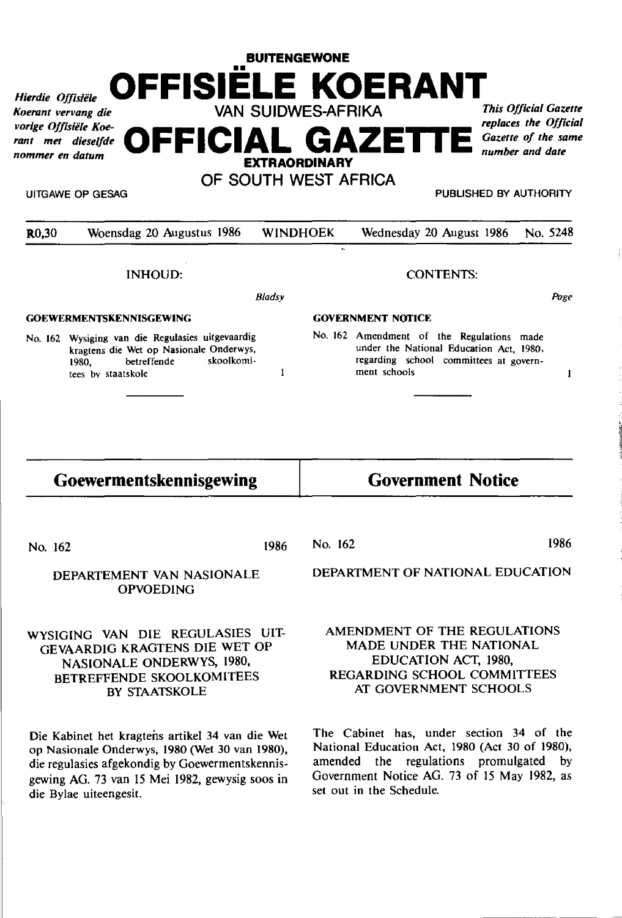# **BUITENGEWONE**  *Hierdie Offisiële* **OFFISIELE KOERANT VAN SUIDWES-AFRIKA** *This Official Gazette*

*Koerant vervang die*  vorige Offisiële Koe*rant met dieselfde nommer en datum* 

*replaces the Official Gazette of the same* **OFFICIAL GAZETTE** *number and date* 

**EXTRAORDINARY OF SOUTH WEST AFRICA** 

UITGAWE OP GESAG PUBLISHED BY AUTHORITY

| R <sub>0,30</sub>              | Woensdag 20 Augustus 1986                                                                                                                               | <b>WINDHOEK</b><br>$\mathbf{r}_{\sigma}$ |                          | Wednesday 20 August 1986                                                                                                                       | No. 5248 |
|--------------------------------|---------------------------------------------------------------------------------------------------------------------------------------------------------|------------------------------------------|--------------------------|------------------------------------------------------------------------------------------------------------------------------------------------|----------|
|                                | INHOUD:                                                                                                                                                 | <b>CONTENTS:</b>                         |                          |                                                                                                                                                |          |
|                                |                                                                                                                                                         |                                          | Bladsy                   |                                                                                                                                                | Page     |
| <b>GOEWERMENTSKENNISGEWING</b> |                                                                                                                                                         |                                          | <b>GOVERNMENT NOTICE</b> |                                                                                                                                                |          |
|                                | No. 162 Wysiging van die Regulasies uitgevaardig<br>kragtens die Wet op Nasionale Onderwys,<br>skoolkomi-<br>betreffende<br>1980.<br>tees by staatskole |                                          |                          | No. 162 Amendment of the Regulations made<br>under the National Education Act, 1980,<br>regarding school committees at govern-<br>ment schools |          |
| Goewermentskennisgewing        |                                                                                                                                                         |                                          |                          | <b>Government Notice</b>                                                                                                                       |          |

No. 162

1986 No. 162 1986

DEPARTEMENT VAN NASIONALE OPVOEDING

# WYSIGING VAN DIE REGULASIES UIT-GEVAARDIG KRAGTENS DIE WET OP NASIONALE ONDERWYS, 1980, BETREFFENDE SKOOLKOMITEES BY STAATSKOLE

Die Kabinet het kragtens artikel 34 van die Wet op Nasionale Onderwys, 1980 (Wet 30 van 1980), die regulasies afgekondig by Goewermentskennisgewing AG. 73 van 15 Mei 1982, gewysig soos in die Bylae uiteengesit.

DEPARTMENT OF NATIONAL EDUCATION

# AMENDMENT OF THE REGULATIONS MADE UNDER THE NATIONAL EDUCATION ACT, 1980, REGARDING SCHOOL COMMITTEES AT GOVERNMENT SCHOOLS

The Cabinet has, under section 34 of the National Education Act, 1980 (Act 30 of 1980), amended the regulations promulgated by Government Notice AG. 73 of 15 May 1982, as set out in the Schedule.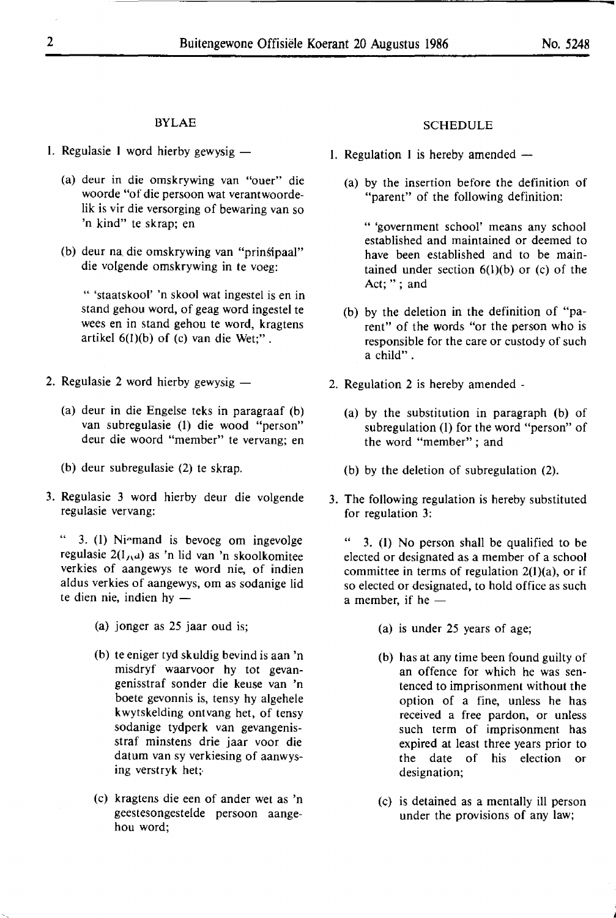## **BYLAE**

- 1. Regulasie 1 word hierby gewysig  $-$ 
	- (a) deur in die omskrywing van "ouer" die woorde "of die persoon wat verantwoordelik is vir die versorging of bewaring van so 'n kind" te skrap; en
	- (b) deur na. die omskrywing van "prinsipaal" die volgende omskrywing in te voeg:

" 'staatskool' 'n skool wat ingestel is en in stand gehou word, of geag word ingestel te wees en in stand gehou te word, kragtens artikel  $6(1)(b)$  of (c) van die Wet;".

- 2. Regulasie 2 word hierby gewysig  $-$ 
	- (a) deur in die Engelse teks in paragraaf (b) van subregulasie (1) die wood "person" deur die woord "member" te vervang; en
	- (b) deur subregulasie (2) te skrap.
- 3. Regulasie 3 word hierby deur die volgende regulasie vervang:

3. (1) Ni•mand is bevoeg om ingevolge regulasie  $2(1/\alpha)$  as 'n lid van 'n skoolkomitee verkies of aangewys te word nie, of indien aldus verkies of aangewys, om as sodanige lid te dien nie, indien hy  $-$ 

- (a) jonger as 25 jaar oud is;
- (b) te eniger tyd skuldig bevind is aan 'n misdryf waarvoor hy tot gevangenisstraf sonder die keuse van 'n boete gevonnis is, tensy hy algehele kwytskelding ontvang het, of tensy sodanige tydperk van gevangenisstraf minstens drie jaar voor die datum van sy verkiesing of aanwysing verstryk het;-
- ( c) kragtens die een of ander wet as 'n geestesongestelde persoon aangehou word;

## SCHEDULE

- 1. Regulation 1 is hereby amended  $-$ 
	- (a) by the insertion before the definition of "parent" of the following definition:

" 'government school' means any school established and maintained or deemed to have been established and to be maintained under section  $6(1)(b)$  or (c) of the Act; "; and

- (b) by the deletion in the definition of "parent" of the words "or the person who is responsible for the care or custody of such a child" .
- 2. Regulation 2 is hereby amended
	- (a) by the substitution in paragraph (b) of subregulation (I) for the word "person" of the word "member" ; and
	- (b) by the deletion of subregulation (2).
- 3. The following regulation is hereby substituted for regulation 3:

 $"$  3. (1) No person shall be qualified to be elected or designated as a member of a school committee in terms of regulation 2(1)(a), or if so elected or designated, to hold office as such a member, if he  $-$ 

- (a) is under 25 years of age;
- (b) has at any time been found guilty of an offence for which he was sentenced to imprisonment without the option of a fine, unless he has received a free pardon, or unless such term of imprisonment has expired at least three years prior to the date of his election or designation;
- (c) is detained as a mentally ill person under the provisions of any law;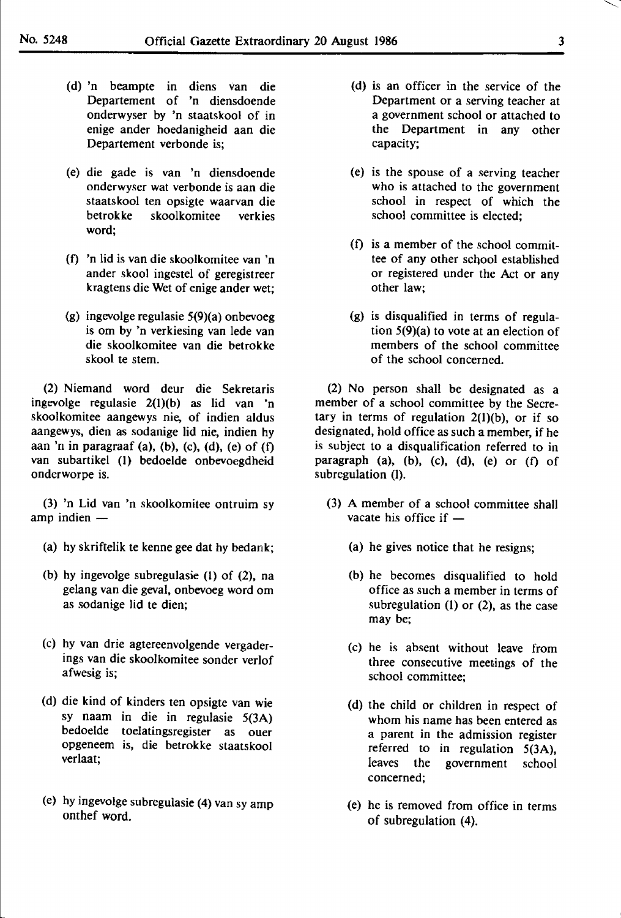- (d) 'n bearnpte in diens van die Departement of 'n diensdoende onderwyser by 'n staatskool of in enige ander hoedanigheid aan die Departement verbonde is;
- (e) die gade is van 'n diensdoende onderwyser wat verbonde is aan die staatskool ten opsigte waarvan die betrokke skoolkomitee verkies word;
- (0 'n lid is van die skoolkomitee van 'n ander skool ingestel of geregistreer kragtens die Wet of enige ander wet;
- (g) ingevolge regulasie 5(9)(a) onbevoeg is om by 'n verkiesing van lede van die skoolkomitee van die betrokke skool te stem.

(2) Niemand word deur die Sekretaris ingevolge regulasie 2(l)(b) as lid van 'n skoolkomitee aangewys nie, of indien aldus aangewys, dien as sodanige lid nie, indien hy aan 'n in paragraaf (a), (b), (c), (d), (e) of  $(f)$ van subartikel (1) bedoelde onbevoegdheid onderworpe is.

(3) 'n Lid van 'n skoolkomitee ontruim sy amp indien  $-$ 

- (a) hy skriftelik te kenne gee dat hy bedank;
- (b) hy ingevolge subregulasie (1) of (2), na gelang van die geval, onbevoeg word om as sodanige lid te dien;
- (c) hy van drie agtereenvolgende vergaderings van die skoolkomitee sonder verlof afwesig is;
- (d) die kind of kinders ten opsigte van wie sy naam in die in regulasie 5(3A) bedoelde toelatingsregister as ouer opgeneem is, die betrokke staatskool verlaat;
- (e) hy ingevolge subregulasie (4) van sy amp onthef word.
- (d) is an officer in the service of the Department or a serving teacher at a government school or attached to the Department in any other capacity;
- (e) is the spouse of a serving teacher who is attached to the government school in respect of which the school committee is elected;
- (f) is a member of the school committee of any other school established or registered under the Act or any other law;
- (g) is disqualified in terms of regulation 5(9)(a) to vote at an election of members of the school committee of the school concerned.

(2) No person shall be designated as a member of a school committee by the Secretary in terms of regulation  $2(1)(b)$ , or if so designated, hold office *as* such a member, if he is subject to a disqualification referred to in paragraph (a), (b), (c), (d), (e) or (f) of subregulation (I).

- (3) A member of a school committee shall vacate his office if  $-$ 
	- (a) he gives notice that he resigns;
	- (b) he becomes disqualified to hold office as such a member in terms of subregulation (1) or (2), as the case may be;
	- (c) he is absent without leave from three consecutive meetings of the school committee;
	- (d) the child or children in respect of whom his name has been entered as a parent in the admission register referred to in regulation 5(3A), leaves the government school concerned;
	- (e) he is removed from office in terms of subregulation (4).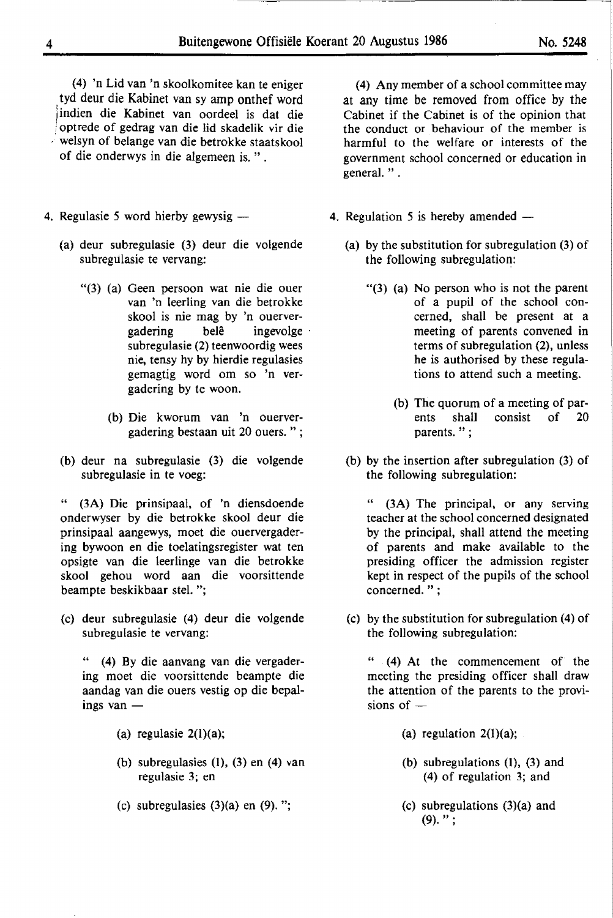( 4) 'n Lid van 'n skoolkomitee kan te eniger . tyd deur die Kabinet van sy amp onthef word indien die Kabinet van oordeel is dat die ; optrede of gedrag van die lid skadelik vir die -· welsyn of belange van die betrokke staatskool of die onderwys in die algemeen is. " .

- 4. Regulasie 5 word hierby gewysig -
	- (a) deur subregulasie (3) deur die volgende subregulasie te vervang:
		- "(3) (a) Geen persoon wat nie die ouer van 'n leerling van die betrokke skool is nie mag by 'n ouervergadering belê ingevolge subregulasie (2) teenwoordig wees nie, tensy hy by hierdie regulasies gemagtig word om so 'n vergadering by te woon.
			- (b) Die kworum van 'n ouervergadering bestaan uit 20 ouers. " ;
	- (b) deur na subregulasie (3) die volgende subregulasie in te voeg:

(3A) Die prinsipaal, of 'n diensdoende onderwyser by die betrokke skool deur die prinsipaal aangewys, moet die ouervergadering bywoon en die toelatingsregister wat ten opsigte van die leerlinge van die betrokke skool gehou word aan die voorsittende beampte beskikbaar stel. ";

(c) deur subregulasie (4) deur die volgende subregulasie te vervang:

" (4) By die aanvang van die vergadering moet die voorsittende beampte die aandag van die ouers vestig op die bepalings van  $-$ 

- (a) regulasie 2(l)(a);
- (b) subregulasies  $(1)$ ,  $(3)$  en  $(4)$  van regulasie 3; en
- (c) subregulasies  $(3)(a)$  en  $(9)$ . ";

(4) Any member of a school committee may at any time be removed from office by the Cabinet if the Cabinet is of the opinion that the conduct or behaviour of the member is harmful to the welfare or interests of the government school concerned or education in general. " .

- 4. Regulation 5 is hereby amended -
	- (a) by the substitution for subregulation (3) of the following subregulation:
		- "(3) (a) No person who is not the parent of a pupil of the school concerned, shall be present at a meeting of parents convened in terms of subregulation (2), unless he is authorised by these regulations to attend such a meeting.
			- (b) The quorum of a meeting of parents shall consist of 20 parents. " ;
	- (b) by the insertion after subregulation (3) of the following subregulation:

" (3A) The principal, or any serving teacher at the school concerned designated by the principal, shall attend the meeting of parents and make available to the presiding officer the admission register kept in respect of the pupils of the school concerned. " ;

(c) by the substitution for subregulation (4) of the following subregulation:

" (4) At the commencement of the meeting the presiding officer shall draw the attention of the parents to the provisions of  $-$ 

- (a) regulation  $2(1)(a)$ ;
- (b) subregulations {]), (3) and (4) of regulation 3; and
- (c) subregulations (3){a) and  $(9).$ ":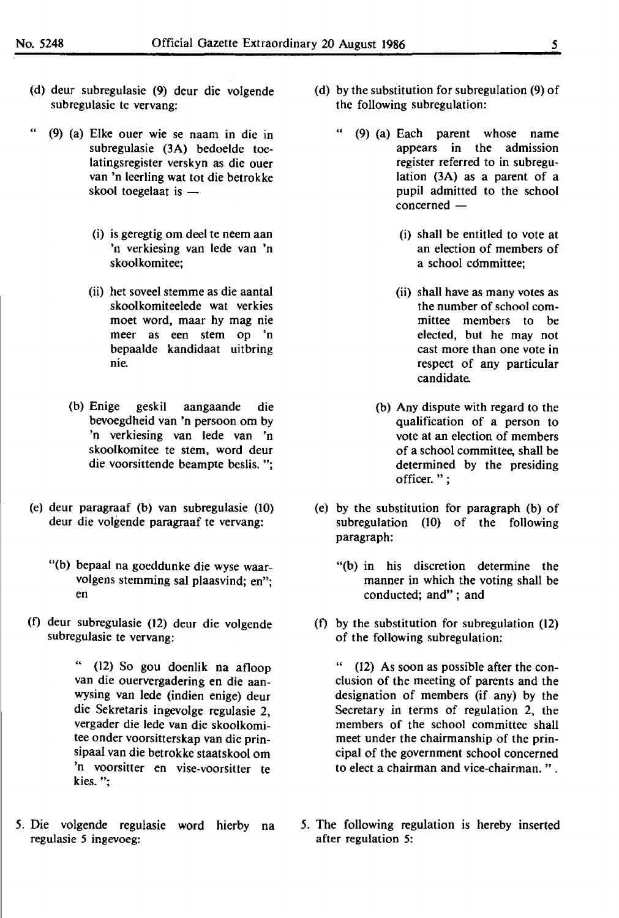- (d) deur subregulasie (9) deur die volgende subregulasie te vervang:
- " (9) (a) Elke ouer wie se naam in die in subregulasie (3A) bedoelde toelatingsregister verskyn as die ouer van 'n leerling wat tot die betrokke skool toegelaat is  $-$ 
	- (i) is geregtig om deel te neem aan 'n verkiesing van lede van 'n skoolkomitee;
	- (ii) het soveel stemme as die aantal skoolkomiteelede wat verkies moet word, maar hy mag nie meer as een stem op 'n bepaalde kandidaat uitbring nie.
	- (b) Enige geskil aangaande die bevoegdheid van 'n persoon om by 'n verkiesing van lede van 'n skoolkomitee te stem, word deur die voorsittende beampte beslis. ";
- (e) deur paragraaf (b) van subregulasie (10) deur die volgende paragraaf te vervang:
	- "(b) bepaal na goeddunke die wyse waarvolgens stemming sal plaasvind; en"; en
- (f) deur subregulasie (12) deur die volgende subregulasie te vervang:

" (12) So gou doenlik na afloop van die ouervergadering en die aanwysing van lede (indien enige) deur die Sekretaris ingevolge regulasie 2, vergader die lede van die skoolkomitee onder voorsitterskap van die prinsipaal van die betrokke staatskool om 'n voorsitter en vise-voorsitter te kies.";

*5.* Die volgende regulasie word hierby na regulasie *5* ingevoeg:

- (d) by the substitution for subregulation (9) of the following subregulation:
	- " (9) (a) Each parent whose name appears in the admission register referred to in subregulation (3A) as a parent of a pupil admitted to the school  $concerned -$ 
		- (i) shall be entitled to vote at an election of members of a school cdmmittee;
		- {ii) shall have as many votes as the number of school committee members to be elected, but he may not cast more than one vote in respect of any particular candidate.
		- (b) Any dispute with regard to the qualification of a person to vote at an election of members of a school committee, shall be determined by the presiding officer.";
- (e) by the substitution for paragraph {b) of subregulation (10) of the following paragraph:
	- "(b) in his discretion determine the manner in which the voting shall be conducted; and" ; and
- (f) by the substitution for subregulation (12) of the following subregulation:

" (12) As soon as possible after the conclusion of the meeting of parents and the designation of members (if any) by the Secretary in terms of regulation 2, the members of the school committee shall meet under the chairmanship of the principal of the government school concerned to elect a chairman and vice-chairman. " .

5. The following regulation is hereby inserted after regulation 5: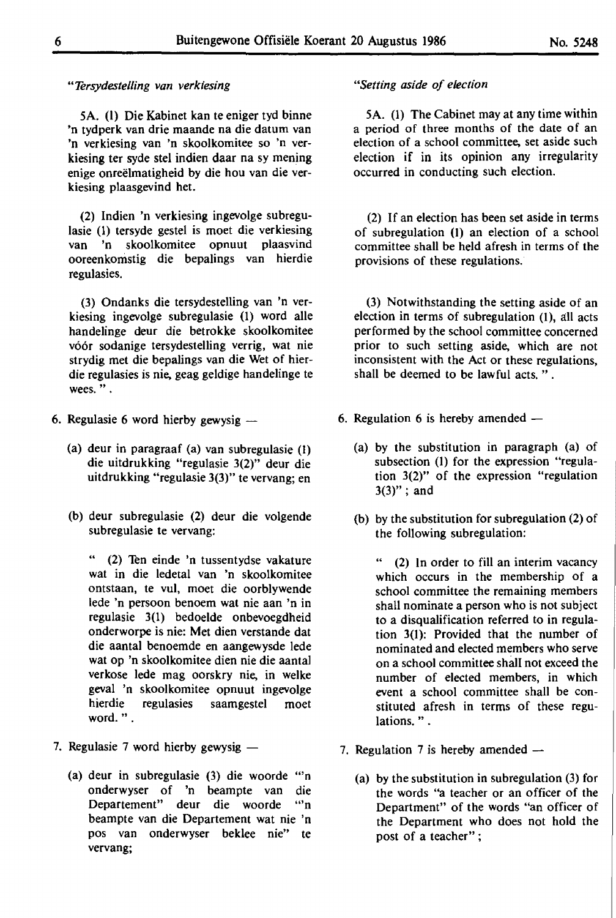#### *"Tersydestelling van verkiesing*

5A. (I) Die Kabinet kan te eniger tyd binne 'n tydperk van drie maande na die datum van 'n verkiesing van 'n skoolkomitee so 'n verkiesing ter syde stel indien daar na sy mening enige onreëlmatigheid by die hou van die verkiesing plaasgevind het.

(2) Indien 'n verkiesing ingevolge subregulasie (1) tersyde gestel is moet die verkiesing van 'n skoolkomitee opnuut plaasvind ooreenkomstig die bepalings van hierdie regulasies.

(3) Ondanks die tersydestelling van 'n verkiesing ingevolge subregulasie (I) word alle handelinge deur die betrokke skoolkomitee vóór sodanige tersydestelling verrig, wat nie strydig met die bepalings van die Wet of hierdie regulasies is nie, geag geldige handelinge te wees.".

- 6. Regulasie 6 word hierby gewysig  $-$ 
	- (a) deur in paragraaf (a) van subregulasie (1) die uitdrukking "regulasie 3(2)" deur die uitdrukking "regulasie 3(3)" te vervang; en
	- (b) deur subregulasie (2) deur die volgende subregulasie te vervang:

"  $(2)$  Ten einde 'n tussentydse vakature wat in die ledetal van 'n skoolkomitee ontstaan, te vul, moet die oorblywende lede 'n persoon benoem wat nie aan 'n in regulasie 3(1) bedoelde onbevoegdheid onderworpe is nie: Met dien verstande dat die aantal benoemde en aangewysde lede wat op 'n skoolkomitee dien nie die aantal verkose lede mag oorskry nie, in welke geval 'n skoolkomitee opnuut ingevolge hierdie regulasies saamgestel moet word." .

- 7. Regulasie 7 word hierby gewysig  $-$ 
	- (a) deur in subregulasie (3) die woorde "'n onderwyser of 'n beampte van die Departement" deur die woorde "'n beampte van die Departement wat nie 'n pos van onderwyser beklee nie" te vervang;

#### *"Setting aside of election*

5A. (1) The Cabinet may at any time within a period of three months of the date of an election of a school committee, set aside such election if in its opinion any irregularity occurred in conducting such election.

(2) If an election has been set aside in terms of subregulation (]) an election of a school committee shall be held afresh in terms of the provisions of these regulations.

(3) Notwithstanding the setting aside of an election in terms of subregulation (1), all acts performed by the school committee concerned prior to such setting aside, which are not inconsistent with the Act or these regulations, shall be deemed to be lawful acts. " .

- 6. Regulation 6 is hereby amended  $-$ 
	- (a) by the substitution in paragraph (a) of subsection (1) for the expression "regulation 3(2)" of the expression "regulation  $3(3)''$ ; and
	- (b) by the substitution for subregulation (2) of the following subregulation:

" (2) In order to fill an interim vacancy which occurs in the membership of a school committee the remaining members shall nominate a person who is not subject to a disqualification referred to in regulation 3(1): Provided that the number of nominated and elected members who serve on a school committee shall not exceed the number of elected members, in which event a school committee shall be constituted afresh in terms of these regulations. " .

- 7. Regulation 7 is hereby amended  $-$ 
	- **(a) by** the substitution in subregulation (3) for the words "a teacher or an officer of the Department" of the words "an officer of the Department who does not hold the post of a teacher";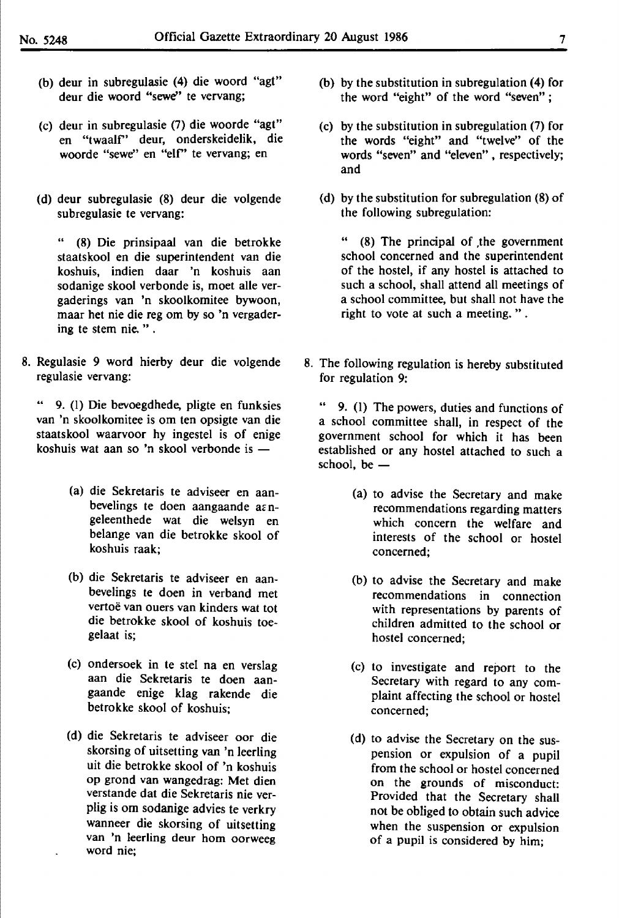- (b) deur in subregulasie (4) die woord "agt" deur die woord **"sewe"** te vervang;
- (c) deur in subregulasie (7) die woorde "agt" en "twaalr' deur, onderskeidelik, die woorde "sewe'' en "elf' te vervang; en
- (d) deur subregulasie (8) deur die volgende subregulasie te vervang:

" (8) Die prinsipaal van die betrokke staatskool en die superintendent van die koshuis, indien daar 'n koshuis aan sodanige skool verbonde is, moet alle vergaderings van 'n skoolkomitee bywoon, maar het nie die reg om by so 'n vergadering te stem nie. " .

8. Regulasie 9 word hierby deur die volgende regulasie vervang:

" 9. (1) Die bevoegdhede, pligte en funksies van 'n skoolkomitee is om ten opsigte van die staatskool waarvoor hy ingestel is of enige koshuis wat aan so 'n skool verbonde is  $-$ 

- (a) die Sekretaris te adviseer en aanbevelings te doen aangaande a $\varepsilon$ ngeleenthede wat die welsyn en belange van die betrokke skool of koshuis raak;
- (b) die Sekretaris te adviseer en aanbevelings te doen in verband met vertoë van ouers van kinders wat tot die betrokke skool of koshuis toegelaat is;
- (c) ondersoek in te stel na en verslag aan die Sekretaris te doen aangaande enige klag rakende die betrokke skool of koshuis;
- (d) die Sekretaris te adviseer oor die skorsing of uitsetting van 'n leerling uit die betrokke skool of 'n koshuis op grond van wangedrag: Met dien verstande dat die Sekretaris nie verplig is om sodanige advies te verkry wanneer die skorsing of uitsetting van 'n leerling deur hom oorweeg word nie;
- (b) by the substitution in subregulation (4) for the word "eight" of the word "seven" ;
- (c) by the substitution in subregulation (7) for the words "eight" and "twelve" of the words "seven" and "eleven", respectively; and
- (d) by the substitution for subregulation (8) of the following subregulation:

 $(8)$  The principal of the government school concerned and the superintendent of the hostel, if any hostel is attached to such a school, shall attend all meetings of a school committee, but shall not have the right to vote at such a meeting.".

8. The following regulation is hereby substituted for regulation 9:

9. (1) The powers, duties and functions of a school committee shall, in respect of the government school for which it has been established or any hostel attached to such a school, be  $-$ 

- (a) to advise the Secretary and make recommendations regarding matters which concern the welfare and interests of the school or hostel concerned;
- (b) to advise the Secretary and make recommendations in connection with representations by parents of children admitted to the school or hostel concerned;
- (c) to investigate and report to the Secretary with regard to any complaint affecting the school or hostel concerned;
- (d) to advise the Secretary on the suspension or expulsion of a pupil from the school or hostel concerned on the grounds of misconduct: Provided that the Secretary shall not be obliged to obtain such advice when the suspension or expulsion of a pupil is considered by him;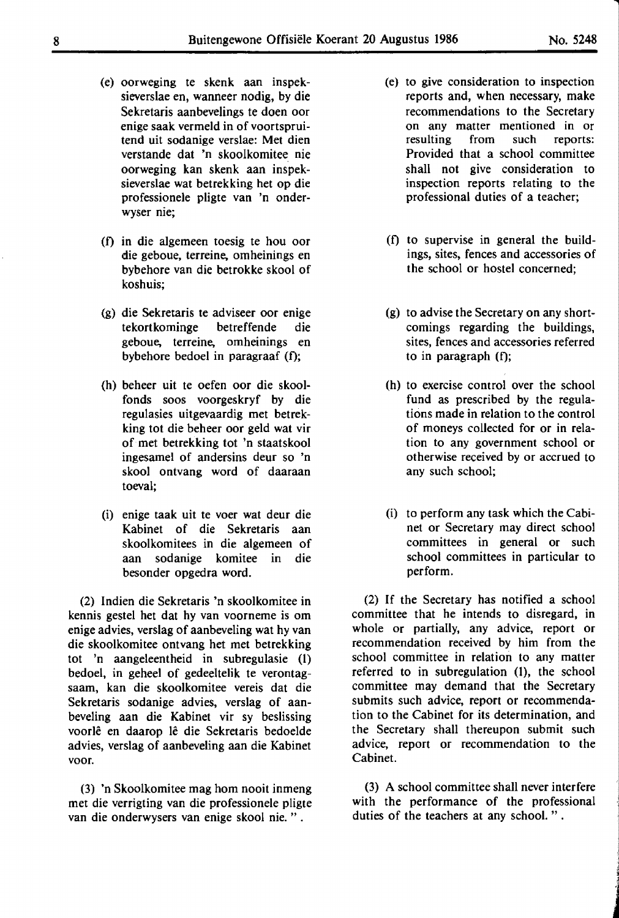- (e) oorweging te skenk aan inspeksieverslae en, wanneer nodig, by die Sekretaris aanbevelings te doen oor enige **saak** vermeld in of voortspruitend uit sodanige verslae: Met dien verstande dat 'n skoolkomitee nie oorweging kan skenk aan inspeksieverslae wat betrekking het op die professionele pligte van 'n onderwyser nie;
- (0 in die algemeen toesig te hou oor die geboue, terreine, omheinings en bybehore van die betrokke skool of koshuis;
- (g) die Sekretaris te adviseer oor enige tekortkominge betreffende die geboue, terreine, omheinings en bybehore bedoel in paragraaf (f);
- (h) beheer uit te oefen oor die skoolfonds soos voorgeskryf by die regulasies uitgevaardig met betrekking tot die beheer oor geld wat vir of met betrekking tot 'n staatskool ingesamel of andersins deur so 'n skool ontvang word of daaraan toeval;
- (i) enige taak uit te voer wat deur die Kabinet of die Sekretaris aan skoolkomitees in die algemeen of aan sodanige komitee in die besonder opgedra word.

(2) Indien die Sekretaris 'n skoolkomitee in kennis gestel het dat hy van voorneme is om enige advies, verslag of aanbeveling wat hy van die skoolkomitee ontvang het met betrekking tot 'n aangeleentheid in subregulasie (1) bedoel, in geheel of gedeeltelik te verontagsaam, kan die skoolkomitee vereis dat die Sekretaris sodanige advies, verslag of aanbeveling aan die Kabinet vir sy beslissing voorle en daarop le die Sekretaris bedoelde advies, verslag of aanbeveling aan die Kabinet voor.

(3) 'n Skoolkomitee mag horn nooit inmeng met die verrigting van die professionele pligte van die onderwysers van enige skool nie. " .

- (e) to give consideration to inspection reports and, when necessary, make recommendations to the Secretary on any matter mentioned in or<br>resulting from such reports: resulting from such reports: Provided that a school committee shall not give consideration to inspection reports relating to the professional duties of a teacher;
- (f) to supervise in general the buildings, sites, fences and accessories of the school or hostel concerned;
- (g) to advise the Secretary on any shortcomings regarding the buildings, sites, fences and accessories referred to in paragraph (f);
- (h) to exercise control over the school fund as prescribed by the regulations made in relation to the control of moneys collected for or in relation to any government school or otherwise received by or accrued to any such school;
- (i) to perform any task which the Cabinet or Secretary may direct school committees in general or such school committees in particular to perform.

(2) If the Secretary has notified a school committee that he intends to disregard, in whole or partially, any advice, report or recommendation received by him from the school committee in relation to any matter referred to in subregulation (1), the school committee may demand that the Secretary submits such advice, report or recommendation to the Cabinet for its determination, and the Secretary shall thereupon submit such advice, report or recommendation to the Cabinet.

(3) A school committee shall never interfere with the performance of the professional duties of the teachers at any school. " .